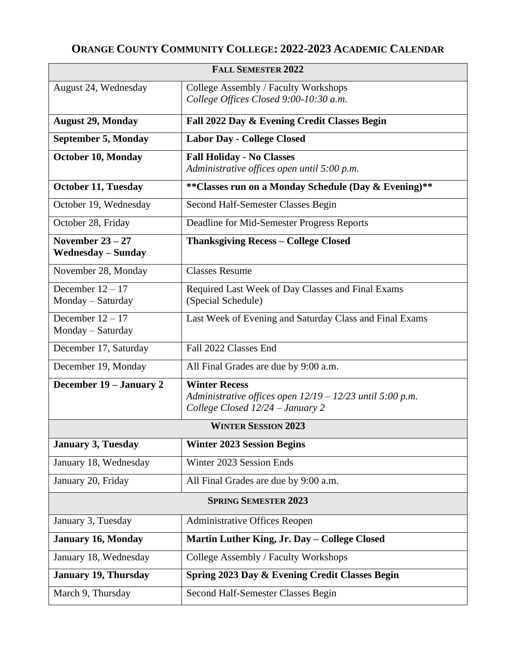## **ORANGE COUNTY COMMUNITY COLLEGE: 2022-2023 ACADEMIC CALENDAR**

| <b>FALL SEMESTER 2022</b>                       |                                                                                                                         |
|-------------------------------------------------|-------------------------------------------------------------------------------------------------------------------------|
| August 24, Wednesday                            | College Assembly / Faculty Workshops<br>College Offices Closed 9:00-10:30 a.m.                                          |
| <b>August 29, Monday</b>                        | Fall 2022 Day & Evening Credit Classes Begin                                                                            |
| <b>September 5, Monday</b>                      | <b>Labor Day - College Closed</b>                                                                                       |
| October 10, Monday                              | <b>Fall Holiday - No Classes</b><br>Administrative offices open until 5:00 p.m.                                         |
| <b>October 11, Tuesday</b>                      | ** Classes run on a Monday Schedule (Day & Evening)**                                                                   |
| October 19, Wednesday                           | Second Half-Semester Classes Begin                                                                                      |
| October 28, Friday                              | Deadline for Mid-Semester Progress Reports                                                                              |
| November $23 - 27$<br><b>Wednesday – Sunday</b> | <b>Thanksgiving Recess - College Closed</b>                                                                             |
| November 28, Monday                             | <b>Classes Resume</b>                                                                                                   |
| December $12 - 17$<br>Monday - Saturday         | Required Last Week of Day Classes and Final Exams<br>(Special Schedule)                                                 |
| December $12 - 17$<br>Monday - Saturday         | Last Week of Evening and Saturday Class and Final Exams                                                                 |
| December 17, Saturday                           | Fall 2022 Classes End                                                                                                   |
| December 19, Monday                             | All Final Grades are due by 9:00 a.m.                                                                                   |
| December 19 - January 2                         | <b>Winter Recess</b><br>Administrative offices open $12/19 - 12/23$ until 5:00 p.m.<br>College Closed 12/24 - January 2 |
| <b>WINTER SESSION 2023</b>                      |                                                                                                                         |
| <b>January 3, Tuesday</b>                       | <b>Winter 2023 Session Begins</b>                                                                                       |
| January 18, Wednesday                           | Winter 2023 Session Ends                                                                                                |
| January 20, Friday                              | All Final Grades are due by 9:00 a.m.                                                                                   |
| <b>SPRING SEMESTER 2023</b>                     |                                                                                                                         |
| January 3, Tuesday                              | <b>Administrative Offices Reopen</b>                                                                                    |
| <b>January 16, Monday</b>                       | Martin Luther King, Jr. Day - College Closed                                                                            |
| January 18, Wednesday                           | College Assembly / Faculty Workshops                                                                                    |
| <b>January 19, Thursday</b>                     | Spring 2023 Day & Evening Credit Classes Begin                                                                          |
| March 9, Thursday                               | Second Half-Semester Classes Begin                                                                                      |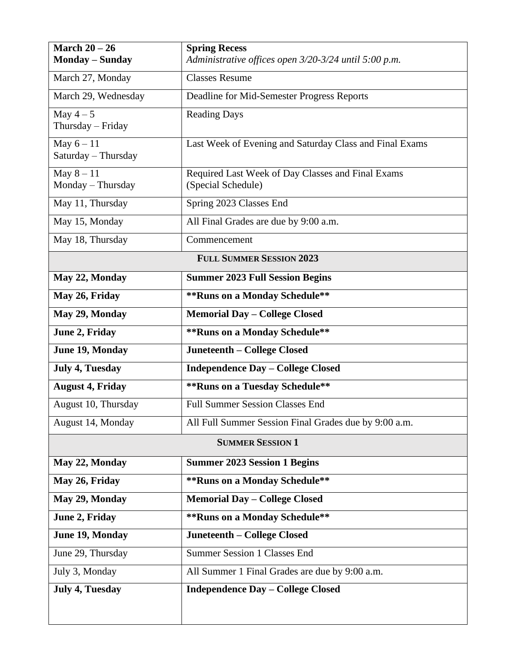| March $20 - 26$<br><b>Monday - Sunday</b> | <b>Spring Recess</b><br>Administrative offices open 3/20-3/24 until 5:00 p.m. |  |
|-------------------------------------------|-------------------------------------------------------------------------------|--|
| March 27, Monday                          | <b>Classes Resume</b>                                                         |  |
|                                           |                                                                               |  |
| March 29, Wednesday                       | Deadline for Mid-Semester Progress Reports                                    |  |
| May $4-5$<br>Thursday - Friday            | <b>Reading Days</b>                                                           |  |
| May $6 - 11$<br>Saturday - Thursday       | Last Week of Evening and Saturday Class and Final Exams                       |  |
| May $8 - 11$<br>Monday - Thursday         | Required Last Week of Day Classes and Final Exams<br>(Special Schedule)       |  |
| May 11, Thursday                          | Spring 2023 Classes End                                                       |  |
| May 15, Monday                            | All Final Grades are due by 9:00 a.m.                                         |  |
| May 18, Thursday                          | Commencement                                                                  |  |
| <b>FULL SUMMER SESSION 2023</b>           |                                                                               |  |
| May 22, Monday                            | <b>Summer 2023 Full Session Begins</b>                                        |  |
| May 26, Friday                            | ** Runs on a Monday Schedule**                                                |  |
| May 29, Monday                            | <b>Memorial Day - College Closed</b>                                          |  |
| June 2, Friday                            | ** Runs on a Monday Schedule**                                                |  |
| June 19, Monday                           | Juneteenth - College Closed                                                   |  |
| <b>July 4, Tuesday</b>                    | <b>Independence Day - College Closed</b>                                      |  |
| <b>August 4, Friday</b>                   | ** Runs on a Tuesday Schedule**                                               |  |
| August 10, Thursday                       | <b>Full Summer Session Classes End</b>                                        |  |
| August 14, Monday                         | All Full Summer Session Final Grades due by 9:00 a.m.                         |  |
| <b>SUMMER SESSION 1</b>                   |                                                                               |  |
| May 22, Monday                            | <b>Summer 2023 Session 1 Begins</b>                                           |  |
| May 26, Friday                            | ** Runs on a Monday Schedule**                                                |  |
| May 29, Monday                            | <b>Memorial Day - College Closed</b>                                          |  |
| June 2, Friday                            | ** Runs on a Monday Schedule**                                                |  |
| June 19, Monday                           | Juneteenth - College Closed                                                   |  |
| June 29, Thursday                         | <b>Summer Session 1 Classes End</b>                                           |  |
| July 3, Monday                            | All Summer 1 Final Grades are due by 9:00 a.m.                                |  |
| <b>July 4, Tuesday</b>                    | <b>Independence Day - College Closed</b>                                      |  |
|                                           |                                                                               |  |